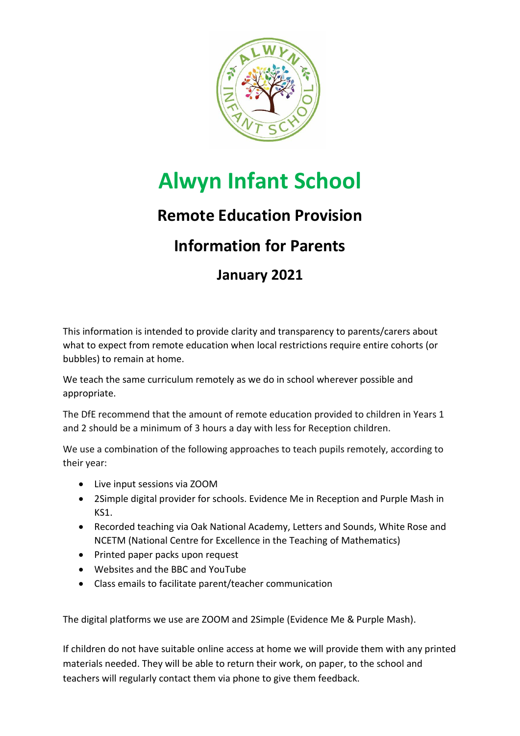

# **Alwyn Infant School**

### **Remote Education Provision**

## **Information for Parents**

### **January 2021**

This information is intended to provide clarity and transparency to parents/carers about what to expect from remote education when local restrictions require entire cohorts (or bubbles) to remain at home.

We teach the same curriculum remotely as we do in school wherever possible and appropriate.

The DfE recommend that the amount of remote education provided to children in Years 1 and 2 should be a minimum of 3 hours a day with less for Reception children.

We use a combination of the following approaches to teach pupils remotely, according to their year:

- Live input sessions via ZOOM
- 2Simple digital provider for schools. Evidence Me in Reception and Purple Mash in KS1.
- Recorded teaching via Oak National Academy, Letters and Sounds, White Rose and NCETM (National Centre for Excellence in the Teaching of Mathematics)
- Printed paper packs upon request
- Websites and the BBC and YouTube
- Class emails to facilitate parent/teacher communication

The digital platforms we use are ZOOM and 2Simple (Evidence Me & Purple Mash).

If children do not have suitable online access at home we will provide them with any printed materials needed. They will be able to return their work, on paper, to the school and teachers will regularly contact them via phone to give them feedback.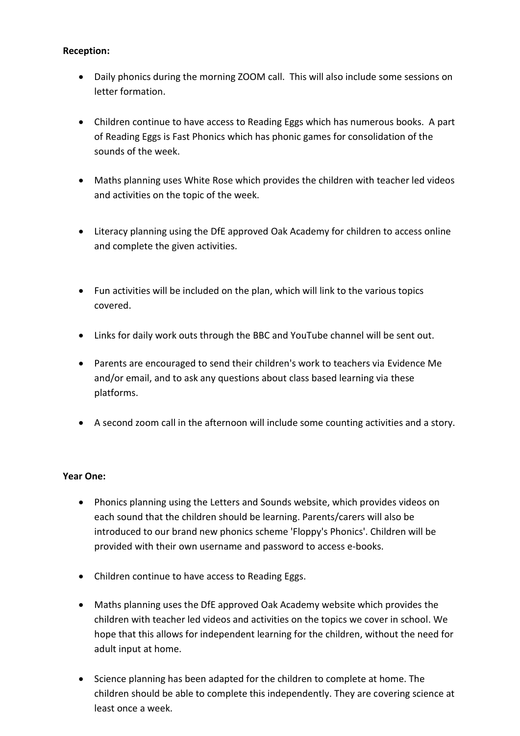#### **Reception:**

- Daily phonics during the morning ZOOM call. This will also include some sessions on letter formation.
- Children continue to have access to Reading Eggs which has numerous books. A part of Reading Eggs is Fast Phonics which has phonic games for consolidation of the sounds of the week.
- Maths planning uses White Rose which provides the children with teacher led videos and activities on the topic of the week.
- Literacy planning using the DfE approved Oak Academy for children to access online and complete the given activities.
- Fun activities will be included on the plan, which will link to the various topics covered.
- Links for daily work outs through the BBC and YouTube channel will be sent out.
- Parents are encouraged to send their children's work to teachers via Evidence Me and/or email, and to ask any questions about class based learning via these platforms.
- A second zoom call in the afternoon will include some counting activities and a story.

#### **Year One:**

- Phonics planning using the Letters and Sounds website, which provides videos on each sound that the children should be learning. Parents/carers will also be introduced to our brand new phonics scheme 'Floppy's Phonics'. Children will be provided with their own username and password to access e-books.
- Children continue to have access to Reading Eggs.
- Maths planning uses the DfE approved Oak Academy website which provides the children with teacher led videos and activities on the topics we cover in school. We hope that this allows for independent learning for the children, without the need for adult input at home.
- Science planning has been adapted for the children to complete at home. The children should be able to complete this independently. They are covering science at least once a week.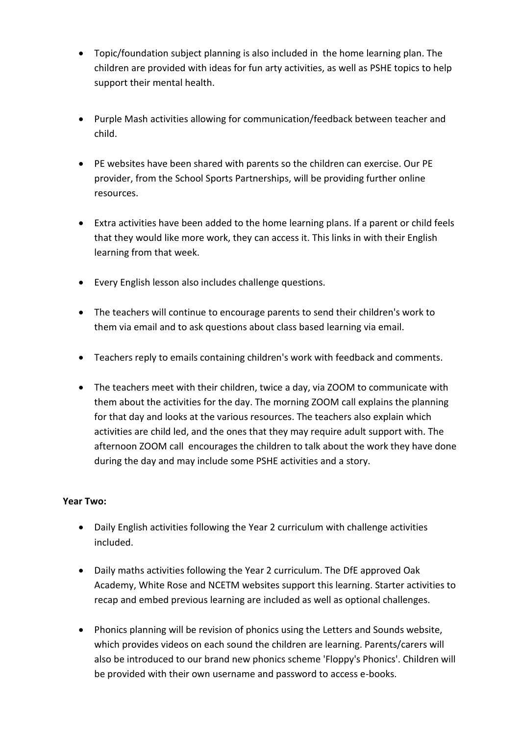- Topic/foundation subject planning is also included in the home learning plan. The children are provided with ideas for fun arty activities, as well as PSHE topics to help support their mental health.
- Purple Mash activities allowing for communication/feedback between teacher and child.
- PE websites have been shared with parents so the children can exercise. Our PE provider, from the School Sports Partnerships, will be providing further online resources.
- Extra activities have been added to the home learning plans. If a parent or child feels that they would like more work, they can access it. This links in with their English learning from that week.
- Every English lesson also includes challenge questions.
- The teachers will continue to encourage parents to send their children's work to them via email and to ask questions about class based learning via email.
- Teachers reply to emails containing children's work with feedback and comments.
- The teachers meet with their children, twice a day, via ZOOM to communicate with them about the activities for the day. The morning ZOOM call explains the planning for that day and looks at the various resources. The teachers also explain which activities are child led, and the ones that they may require adult support with. The afternoon ZOOM call encourages the children to talk about the work they have done during the day and may include some PSHE activities and a story.

#### **Year Two:**

- Daily English activities following the Year 2 curriculum with challenge activities included.
- Daily maths activities following the Year 2 curriculum. The DfE approved Oak Academy, White Rose and NCETM websites support this learning. Starter activities to recap and embed previous learning are included as well as optional challenges.
- Phonics planning will be revision of phonics using the Letters and Sounds website, which provides videos on each sound the children are learning. Parents/carers will also be introduced to our brand new phonics scheme 'Floppy's Phonics'. Children will be provided with their own username and password to access e-books.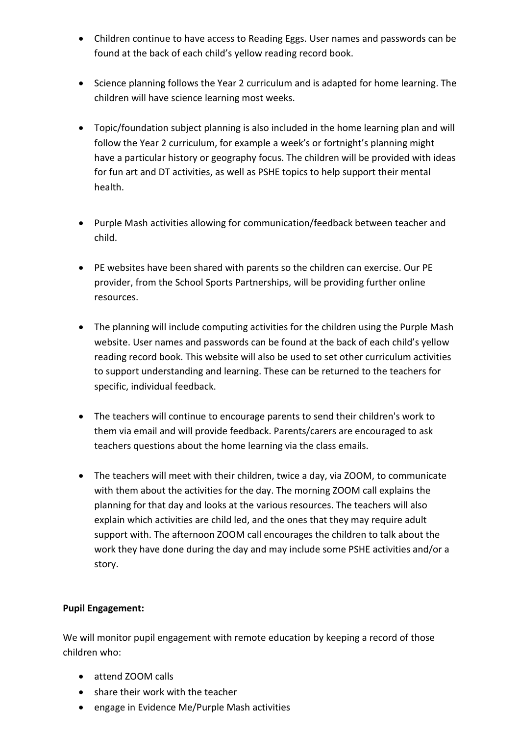- Children continue to have access to Reading Eggs. User names and passwords can be found at the back of each child's yellow reading record book.
- Science planning follows the Year 2 curriculum and is adapted for home learning. The children will have science learning most weeks.
- Topic/foundation subject planning is also included in the home learning plan and will follow the Year 2 curriculum, for example a week's or fortnight's planning might have a particular history or geography focus. The children will be provided with ideas for fun art and DT activities, as well as PSHE topics to help support their mental health.
- Purple Mash activities allowing for communication/feedback between teacher and child.
- PE websites have been shared with parents so the children can exercise. Our PE provider, from the School Sports Partnerships, will be providing further online resources.
- The planning will include computing activities for the children using the Purple Mash website. User names and passwords can be found at the back of each child's yellow reading record book. This website will also be used to set other curriculum activities to support understanding and learning. These can be returned to the teachers for specific, individual feedback.
- The teachers will continue to encourage parents to send their children's work to them via email and will provide feedback. Parents/carers are encouraged to ask teachers questions about the home learning via the class emails.
- The teachers will meet with their children, twice a day, via ZOOM, to communicate with them about the activities for the day. The morning ZOOM call explains the planning for that day and looks at the various resources. The teachers will also explain which activities are child led, and the ones that they may require adult support with. The afternoon ZOOM call encourages the children to talk about the work they have done during the day and may include some PSHE activities and/or a story.

#### **Pupil Engagement:**

We will monitor pupil engagement with remote education by keeping a record of those children who:

- attend ZOOM calls
- share their work with the teacher
- engage in Evidence Me/Purple Mash activities